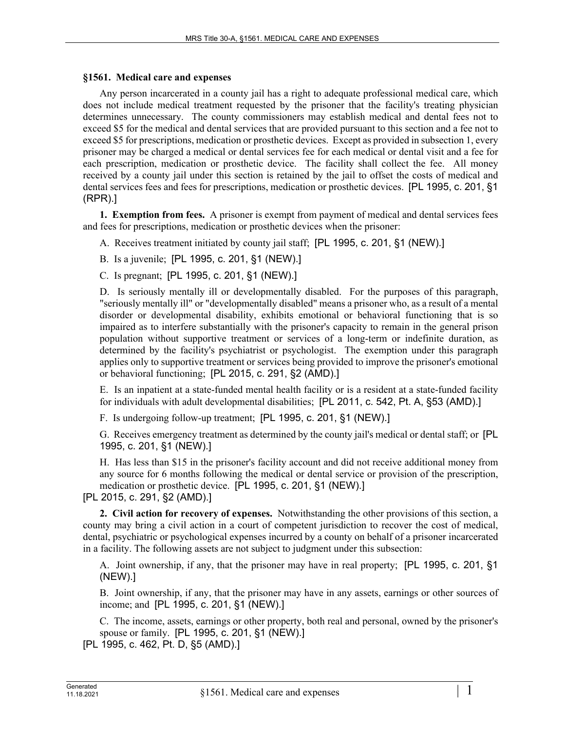## **§1561. Medical care and expenses**

Any person incarcerated in a county jail has a right to adequate professional medical care, which does not include medical treatment requested by the prisoner that the facility's treating physician determines unnecessary. The county commissioners may establish medical and dental fees not to exceed \$5 for the medical and dental services that are provided pursuant to this section and a fee not to exceed \$5 for prescriptions, medication or prosthetic devices. Except as provided in subsection 1, every prisoner may be charged a medical or dental services fee for each medical or dental visit and a fee for each prescription, medication or prosthetic device. The facility shall collect the fee. All money received by a county jail under this section is retained by the jail to offset the costs of medical and dental services fees and fees for prescriptions, medication or prosthetic devices. [PL 1995, c. 201, §1 (RPR).]

**1. Exemption from fees.** A prisoner is exempt from payment of medical and dental services fees and fees for prescriptions, medication or prosthetic devices when the prisoner:

A. Receives treatment initiated by county jail staff; [PL 1995, c. 201, §1 (NEW).]

B. Is a juvenile; [PL 1995, c. 201, §1 (NEW).]

C. Is pregnant; [PL 1995, c. 201, §1 (NEW).]

D. Is seriously mentally ill or developmentally disabled. For the purposes of this paragraph, "seriously mentally ill" or "developmentally disabled" means a prisoner who, as a result of a mental disorder or developmental disability, exhibits emotional or behavioral functioning that is so impaired as to interfere substantially with the prisoner's capacity to remain in the general prison population without supportive treatment or services of a long-term or indefinite duration, as determined by the facility's psychiatrist or psychologist. The exemption under this paragraph applies only to supportive treatment or services being provided to improve the prisoner's emotional or behavioral functioning; [PL 2015, c. 291, §2 (AMD).]

E. Is an inpatient at a state-funded mental health facility or is a resident at a state-funded facility for individuals with adult developmental disabilities; [PL 2011, c. 542, Pt. A, §53 (AMD).]

F. Is undergoing follow-up treatment; [PL 1995, c. 201, §1 (NEW).]

G. Receives emergency treatment as determined by the county jail's medical or dental staff; or [PL 1995, c. 201, §1 (NEW).]

H. Has less than \$15 in the prisoner's facility account and did not receive additional money from any source for 6 months following the medical or dental service or provision of the prescription, medication or prosthetic device. [PL 1995, c. 201, §1 (NEW).]

[PL 2015, c. 291, §2 (AMD).]

**2. Civil action for recovery of expenses.** Notwithstanding the other provisions of this section, a county may bring a civil action in a court of competent jurisdiction to recover the cost of medical, dental, psychiatric or psychological expenses incurred by a county on behalf of a prisoner incarcerated in a facility. The following assets are not subject to judgment under this subsection:

A. Joint ownership, if any, that the prisoner may have in real property; [PL 1995, c. 201, §1 (NEW).]

B. Joint ownership, if any, that the prisoner may have in any assets, earnings or other sources of income; and [PL 1995, c. 201, §1 (NEW).]

C. The income, assets, earnings or other property, both real and personal, owned by the prisoner's spouse or family. [PL 1995, c. 201, §1 (NEW).]

[PL 1995, c. 462, Pt. D, §5 (AMD).]